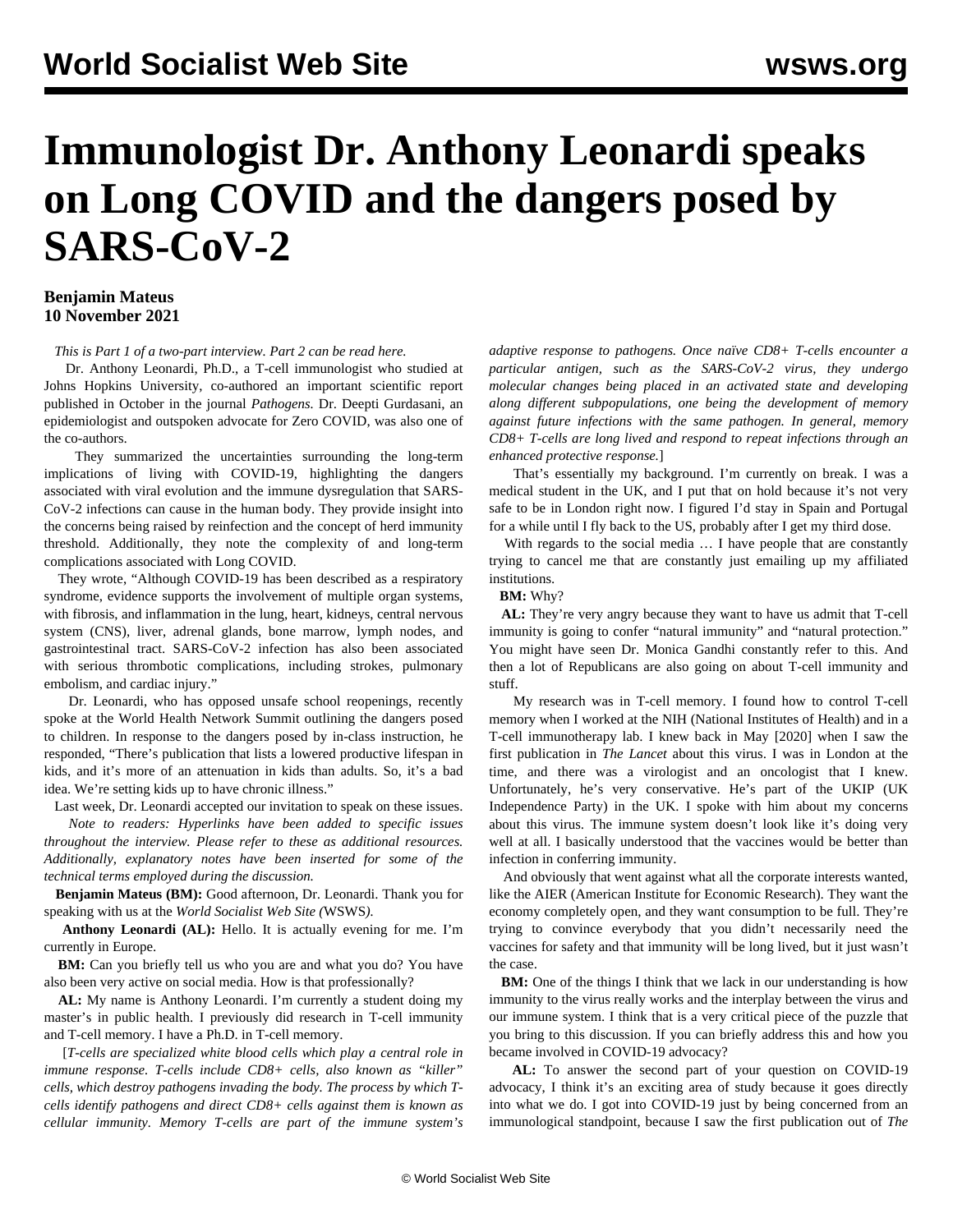## **Immunologist Dr. Anthony Leonardi speaks on Long COVID and the dangers posed by SARS-CoV-2**

## **Benjamin Mateus 10 November 2021**

*This is Part 1 of a two-part interview. Part 2 [can be read here](/en/articles/2021/11/11/leon-n11.html).*

 Dr. Anthony Leonardi, Ph.D., a T-cell immunologist who studied at Johns Hopkins University, co-authored an important scientific report published in October in the journal *[Pathogens](https://www.ncbi.nlm.nih.gov/pmc/articles/PMC8536991/).* Dr. Deepti Gurdasani, an epidemiologist and outspoken advocate for Zero COVID, was also one of the co-authors.

 They summarized the uncertainties surrounding the long-term implications of living with COVID-19, highlighting the dangers associated with viral evolution and the immune dysregulation that SARS-CoV-2 infections can cause in the human body. They provide insight into the concerns being raised by reinfection and the concept of herd immunity threshold. Additionally, they note the complexity of and long-term complications associated with Long COVID.

 They wrote, "Although COVID-19 has been described as a respiratory syndrome, evidence supports the involvement of multiple organ systems, with fibrosis, and inflammation in the lung, heart, kidneys, central nervous system (CNS), liver, adrenal glands, bone marrow, lymph nodes, and gastrointestinal tract. SARS-CoV-2 infection has also been associated with serious thrombotic complications, including strokes, pulmonary embolism, and cardiac injury."

 Dr. Leonardi, who has opposed unsafe school reopenings, recently spoke at the [World Health Network Summit](/en/articles/2021/11/06/pers-n06.html) outlining the dangers posed to children. In response to the dangers posed by in-class instruction, he responded, "There's publication that lists a lowered productive lifespan in kids, and it's more of an attenuation in kids than adults. So, it's a bad idea. We're setting kids up to have chronic illness."

Last week, Dr. Leonardi accepted our invitation to speak on these issues.

 *Note to readers: Hyperlinks have been added to specific issues throughout the interview. Please refer to these as additional resources. Additionally, explanatory notes have been inserted for some of the technical terms employed during the discussion.*

 **Benjamin Mateus (BM):** Good afternoon, Dr. Leonardi. Thank you for speaking with us at the *World Socialist Web Site (*WSWS*).*

 **Anthony Leonardi (AL):** Hello. It is actually evening for me. I'm currently in Europe.

 **BM:** Can you briefly tell us who you are and what you do? You have also been very active on social media. How is that professionally?

 **AL:** My name is Anthony Leonardi. I'm currently a student doing my master's in public health. I previously did research in T-cell immunity and T-cell memory. I have a Ph.D. in T-cell memory.

 [*T-cells are specialized white blood cells which play a central role in immune response. T-cells include CD8+ cells, also known as "killer" cells, which destroy pathogens invading the body. The process by which Tcells identify pathogens and direct CD8+ cells against them is known as cellular immunity. Memory T-cells are part of the immune system's* *adaptive response to pathogens. Once naïve CD8+ T-cells encounter a particular antigen, such as the SARS-CoV-2 virus, they undergo molecular changes being placed in an activated state and developing along different subpopulations, one being the development of memory against future infections with the same pathogen. In general, memory CD8+ T-cells are long lived and respond to repeat infections through an enhanced protective response.*]

 That's essentially my background. I'm currently on break. I was a medical student in the UK, and I put that on hold because it's not very safe to be in London right now. I figured I'd stay in Spain and Portugal for a while until I fly back to the US, probably after I get my third dose.

 With regards to the social media … I have people that are constantly trying to cancel me that are constantly just emailing up my affiliated institutions.

**BM:** Why?

 **AL:** They're very angry because they want to have us admit that T-cell immunity is going to confer "natural immunity" and "natural protection." You might have seen Dr. Monica Gandhi constantly refer to this. And then a lot of Republicans are also going on about T-cell immunity and stuff.

 My research was in T-cell memory. I found how to control T-cell memory when I worked at the NIH (National Institutes of Health) and in a T-cell immunotherapy lab. I knew back in May [2020] when I saw the first publication in *The Lancet* about this virus. I was in London at the time, and there was a virologist and an oncologist that I knew. Unfortunately, he's very conservative. He's part of the UKIP (UK Independence Party) in the UK. I spoke with him about my concerns about this virus. The immune system doesn't look like it's doing very well at all. I basically understood that the vaccines would be better than infection in conferring immunity.

 And obviously that went against what all the corporate interests wanted, like [the AIER](https://www.lse.ac.uk/granthaminstitute/news/organisers-of-anti-lockdown-declaration-have-track-record-of-promoting-denial-of-health-and-environmental-risks/) (American Institute for Economic Research). They want the economy completely open, and they want consumption to be full. They're trying to convince everybody that you didn't necessarily need the vaccines for safety and that immunity will be long lived, but it just wasn't the case.

 **BM:** One of the things I think that we lack in our understanding is how immunity to the virus really works and the interplay between the virus and our immune system. I think that is a very critical piece of the puzzle that you bring to this discussion. If you can briefly address this and how you became involved in COVID-19 advocacy?

 **AL:** To answer the second part of your question on COVID-19 advocacy, I think it's an exciting area of study because it goes directly into what we do. I got into COVID-19 just by being concerned from an immunological standpoint, because I saw the first publication out of *The*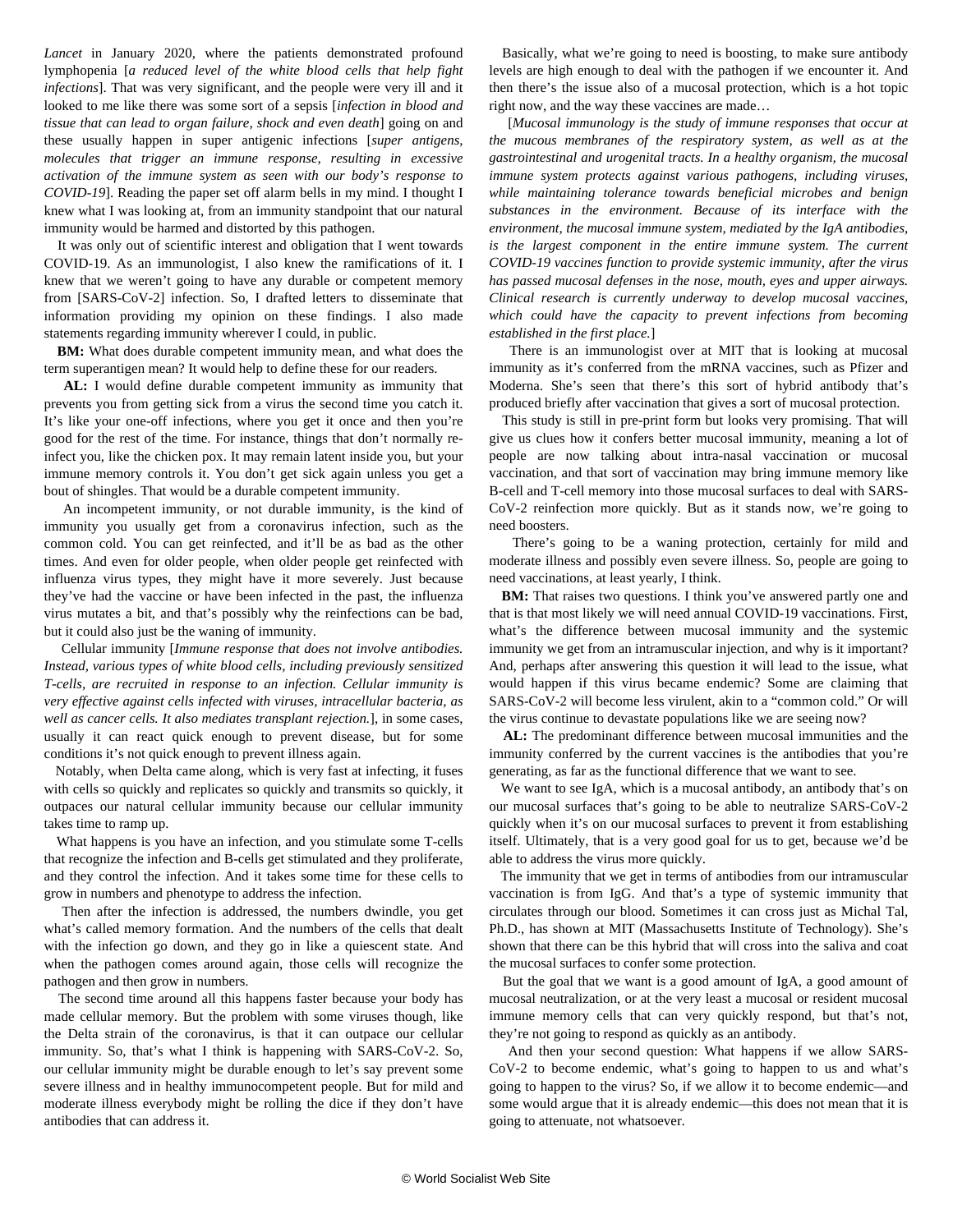*Lancet* in January 2020, where the patients demonstrated profound lymphopenia [*a reduced level of the white blood cells that help fight infections*]. That was very significant, and the people were very ill and it looked to me like there was some sort of a sepsis [*infection in blood and tissue that can lead to organ failure, shock and even death*] going on and these usually happen in super antigenic infections [*super antigens, molecules that trigger an immune response, resulting in excessive activation of the immune system as seen with our body's response to COVID-19*]. Reading the paper set off alarm bells in my mind. I thought I knew what I was looking at, from an immunity standpoint that our natural immunity would be harmed and distorted by this pathogen.

 It was only out of scientific interest and obligation that I went towards COVID-19. As an immunologist, I also knew the ramifications of it. I knew that we weren't going to have any durable or competent memory from [SARS-CoV-2] infection. So, I drafted letters to disseminate that information providing my opinion on these findings. I also made statements regarding immunity wherever I could, in public.

 **BM:** What does durable competent immunity mean, and what does the term superantigen mean? It would help to define these for our readers.

 **AL:** I would define durable competent immunity as immunity that prevents you from getting sick from a virus the second time you catch it. It's like your one-off infections, where you get it once and then you're good for the rest of the time. For instance, things that don't normally reinfect you, like the chicken pox. It may remain latent inside you, but your immune memory controls it. You don't get sick again unless you get a bout of shingles. That would be a durable competent immunity.

 An incompetent immunity, or not durable immunity, is the kind of immunity you usually get from a coronavirus infection, such as the common cold. You can get reinfected, and it'll be as bad as the other times. And even for older people, when older people get reinfected with influenza virus types, they might have it more severely. Just because they've had the vaccine or have been infected in the past, the influenza virus mutates a bit, and that's possibly why the reinfections can be bad, but it could also just be the waning of immunity.

 Cellular immunity [*Immune response that does not involve antibodies. Instead, various types of white blood cells, including previously sensitized T-cells, are recruited in response to an infection. Cellular immunity is very effective against cells infected with viruses, intracellular bacteria, as well as cancer cells. It also mediates transplant rejection.*], in some cases, usually it can react quick enough to prevent disease, but for some conditions it's not quick enough to prevent illness again.

 Notably, when Delta came along, which is very fast at infecting, it fuses with cells so quickly and replicates so quickly and transmits so quickly, it outpaces our natural cellular immunity because our cellular immunity takes time to ramp up.

 What happens is you have an infection, and you stimulate some T-cells that recognize the infection and B-cells get stimulated and they proliferate, and they control the infection. And it takes some time for these cells to grow in numbers and phenotype to address the infection.

 Then after the infection is addressed, the numbers dwindle, you get what's called memory formation. And the numbers of the cells that dealt with the infection go down, and they go in like a quiescent state. And when the pathogen comes around again, those cells will recognize the pathogen and then grow in numbers.

 The second time around all this happens faster because your body has made cellular memory. But the problem with some viruses though, like the Delta strain of the coronavirus, is that it can outpace our cellular immunity. So, that's what I think is happening with SARS-CoV-2. So, our cellular immunity might be durable enough to let's say prevent some severe illness and in healthy immunocompetent people. But for mild and moderate illness everybody might be rolling the dice if they don't have antibodies that can address it.

 Basically, what we're going to need is boosting, to make sure antibody levels are high enough to deal with the pathogen if we encounter it. And then there's the issue also of a mucosal protection, which is a hot topic right now, and the way these vaccines are made…

 [*Mucosal immunology is the study of immune responses that occur at the mucous membranes of the respiratory system, as well as at the gastrointestinal and urogenital tracts. In a healthy organism, the mucosal immune system protects against various pathogens, including viruses, while maintaining tolerance towards beneficial microbes and benign substances in the environment. Because of its interface with the environment, the mucosal immune system, mediated by the IgA antibodies, is the largest component in the entire immune system. The current COVID-19 vaccines function to provide systemic immunity, after the virus has passed mucosal defenses in the nose, mouth, eyes and upper airways. Clinical research is currently underway to develop mucosal vaccines, which could have the capacity to prevent infections from becoming established in the first place.*]

 There is an immunologist over at MIT that is looking at mucosal immunity as it's conferred from the mRNA vaccines, such as Pfizer and Moderna. She's seen that there's this sort of hybrid antibody that's produced briefly after vaccination that gives a sort of mucosal protection.

 This study is still in pre-print form but looks very promising. That will give us clues how it confers better mucosal immunity, meaning a lot of people are now talking about intra-nasal vaccination or mucosal vaccination, and that sort of vaccination may bring immune memory like B-cell and T-cell memory into those mucosal surfaces to deal with SARS-CoV-2 reinfection more quickly. But as it stands now, we're going to need boosters.

 There's going to be a waning protection, certainly for mild and moderate illness and possibly even severe illness. So, people are going to need vaccinations, at least yearly, I think.

**BM:** That raises two questions. I think you've answered partly one and that is that most likely we will need annual COVID-19 vaccinations. First, what's the difference between mucosal immunity and the systemic immunity we get from an intramuscular injection, and why is it important? And, perhaps after answering this question it will lead to the issue, what would happen if this virus became endemic? Some are claiming that SARS-CoV-2 will become less virulent, akin to a "common cold." Or will the virus continue to devastate populations like we are seeing now?

 **AL:** The predominant difference between mucosal immunities and the immunity conferred by the current vaccines is the antibodies that you're generating, as far as the functional difference that we want to see.

 We want to see IgA, which is a mucosal antibody, an antibody that's on our mucosal surfaces that's going to be able to neutralize SARS-CoV-2 quickly when it's on our mucosal surfaces to prevent it from establishing itself. Ultimately, that is a very good goal for us to get, because we'd be able to address the virus more quickly.

 The immunity that we get in terms of antibodies from our intramuscular vaccination is from IgG. And that's a type of systemic immunity that circulates through our blood. Sometimes it can cross just as Michal Tal, Ph.D., has shown at MIT (Massachusetts Institute of Technology). She's shown that there can be this hybrid that will cross into the saliva and coat the mucosal surfaces to confer some protection.

 But the goal that we want is a good amount of IgA, a good amount of mucosal neutralization, or at the very least a mucosal or resident mucosal immune memory cells that can very quickly respond, but that's not, they're not going to respond as quickly as an antibody.

 And then your second question: What happens if we allow SARS-CoV-2 to become endemic, what's going to happen to us and what's going to happen to the virus? So, if we allow it to become endemic—and some would argue that it is already endemic—this does not mean that it is going to attenuate, not whatsoever.